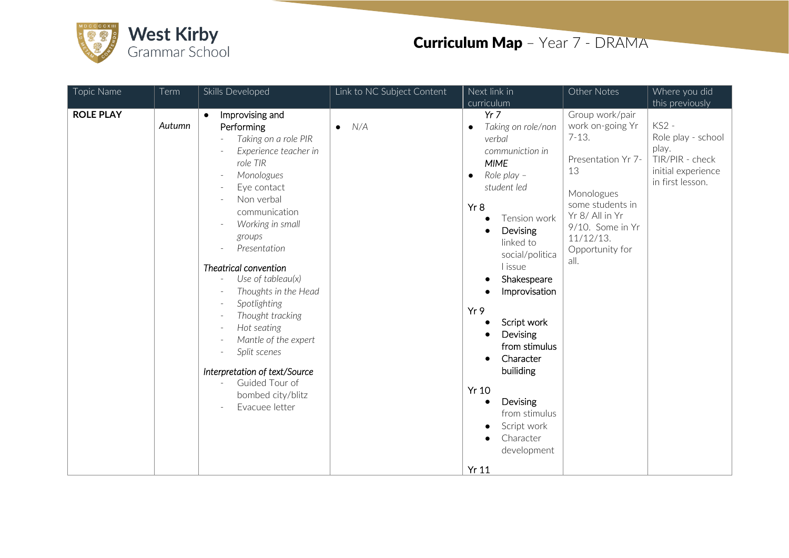

## Curriculum Map - Year 7 - DRAMA

| Topic Name       | Term   | Skills Developed                                                                                                                                                                                                                                                                                                                                                                                                                                                                                                                        | Link to NC Subject Content | Next link in<br>curriculum                                                                                                                                                                                                                                                                                                                                                                                                                  | Other Notes                                                                                                                                                                                      | Where you did<br>this previously                                                                         |
|------------------|--------|-----------------------------------------------------------------------------------------------------------------------------------------------------------------------------------------------------------------------------------------------------------------------------------------------------------------------------------------------------------------------------------------------------------------------------------------------------------------------------------------------------------------------------------------|----------------------------|---------------------------------------------------------------------------------------------------------------------------------------------------------------------------------------------------------------------------------------------------------------------------------------------------------------------------------------------------------------------------------------------------------------------------------------------|--------------------------------------------------------------------------------------------------------------------------------------------------------------------------------------------------|----------------------------------------------------------------------------------------------------------|
| <b>ROLE PLAY</b> | Autumn | Improvising and<br>$\bullet$<br>Performing<br>Taking on a role PIR<br>Experience teacher in<br>role TIR<br>Monologues<br>Eye contact<br>$\overline{\phantom{a}}$<br>Non verbal<br>communication<br>Working in small<br>groups<br>Presentation<br>Theatrical convention<br>Use of tableau $(x)$<br>Thoughts in the Head<br>Spotlighting<br>Thought tracking<br>Hot seating<br>$\overline{\phantom{a}}$<br>Mantle of the expert<br>Split scenes<br>Interpretation of text/Source<br>Guided Tour of<br>bombed city/blitz<br>Evacuee letter | N/A<br>$\bullet$           | $Yr$ 7<br>Taking on role/non<br>$\bullet$<br>verbal<br>communiction in<br><b>MIME</b><br>Role play -<br>$\bullet$<br>student led<br>Yr 8<br>Tension work<br>Devising<br>linked to<br>social/politica<br>l issue<br>Shakespeare<br>Improvisation<br>Yr 9<br>Script work<br>Devising<br>from stimulus<br>Character<br>builiding<br><b>Yr 10</b><br>Devising<br>from stimulus<br>Script work<br>Character<br>$\bullet$<br>development<br>Yr 11 | Group work/pair<br>work on-going Yr<br>$7 - 13.$<br>Presentation Yr 7-<br>13<br>Monologues<br>some students in<br>Yr 8/ All in Yr<br>9/10. Some in Yr<br>$11/12/13$ .<br>Opportunity for<br>all. | <b>KS2 -</b><br>Role play - school<br>play.<br>TIR/PIR - check<br>initial experience<br>in first lesson. |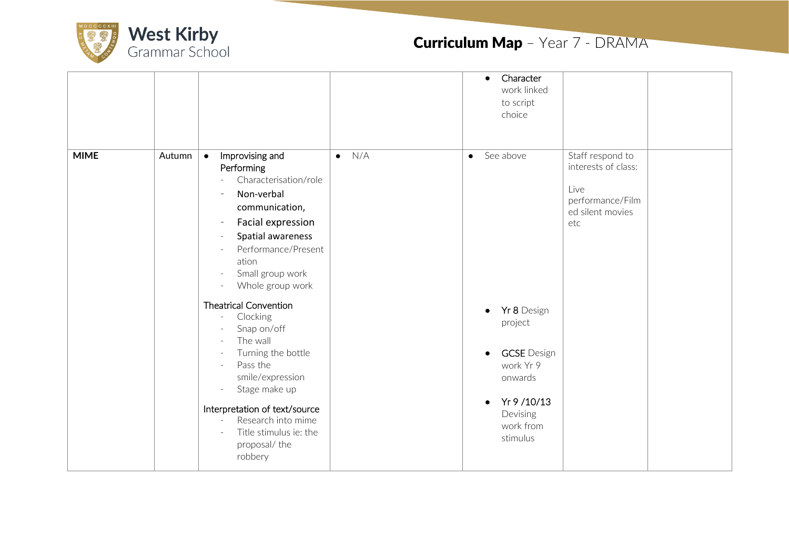

## Curriculum Map - Year 7 - DRAMA

|             |        |                                                                                                                                                                                                                                                                                                                                                                                                                                                                                                                                                                                                                                                                                                                                                                                             |                  | Character<br>$\bullet$<br>work linked<br>to script<br>choice                                                                                                                             |                                                                                                |  |
|-------------|--------|---------------------------------------------------------------------------------------------------------------------------------------------------------------------------------------------------------------------------------------------------------------------------------------------------------------------------------------------------------------------------------------------------------------------------------------------------------------------------------------------------------------------------------------------------------------------------------------------------------------------------------------------------------------------------------------------------------------------------------------------------------------------------------------------|------------------|------------------------------------------------------------------------------------------------------------------------------------------------------------------------------------------|------------------------------------------------------------------------------------------------|--|
| <b>MIME</b> | Autumn | Improvising and<br>$\bullet$<br>Performing<br>Characterisation/role<br>Non-verbal<br>$\equiv$<br>communication,<br>Facial expression<br>$\equiv$<br>Spatial awareness<br>$\overline{\phantom{a}}$<br>Performance/Present<br>ation<br>Small group work<br>$\overline{\phantom{a}}$<br>Whole group work<br>$\overline{\phantom{a}}$<br><b>Theatrical Convention</b><br>Clocking<br>$\overline{\phantom{a}}$<br>Snap on/off<br>$\overline{\phantom{a}}$<br>The wall<br>$\overline{\phantom{a}}$<br>Turning the bottle<br>$\overline{\phantom{a}}$<br>Pass the<br>$\sim$<br>smile/expression<br>Stage make up<br>$\bar{ }$<br>Interpretation of text/source<br>Research into mime<br>$\overline{\phantom{a}}$<br>Title stimulus ie: the<br>$\overline{\phantom{a}}$<br>proposal/ the<br>robbery | N/A<br>$\bullet$ | See above<br>$\bullet$<br>Yr 8 Design<br>$\bullet$<br>project<br><b>GCSE</b> Design<br>$\bullet$<br>work Yr 9<br>onwards<br>Yr 9/10/13<br>$\bullet$<br>Devising<br>work from<br>stimulus | Staff respond to<br>interests of class:<br>Live<br>performance/Film<br>ed silent movies<br>etc |  |
|             |        |                                                                                                                                                                                                                                                                                                                                                                                                                                                                                                                                                                                                                                                                                                                                                                                             |                  |                                                                                                                                                                                          |                                                                                                |  |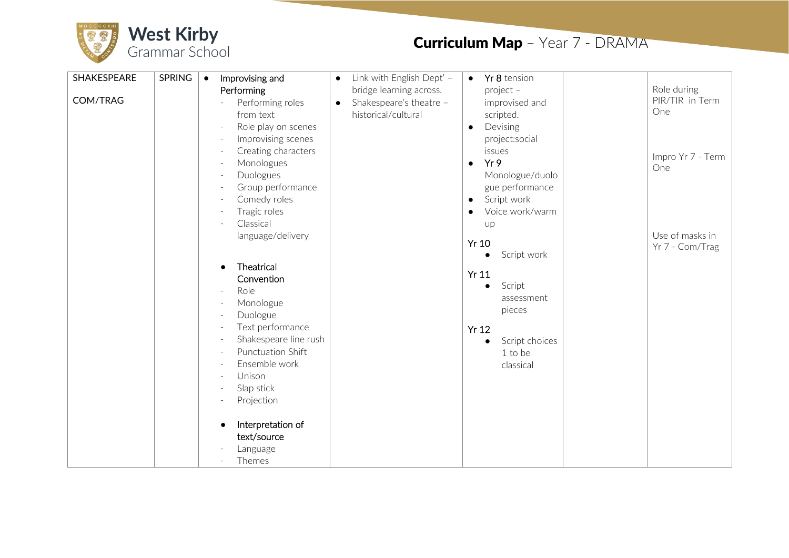

## Curriculum Map - Year 7 - DRAMA

| SHAKESPEARE | <b>SPRING</b> | Improvising and<br>$\bullet$                         | Link with English Dept' -<br>$\bullet$ | Yr 8 tension<br>$\bullet$ |                   |
|-------------|---------------|------------------------------------------------------|----------------------------------------|---------------------------|-------------------|
|             |               | Performing                                           | bridge learning across.                | project -                 | Role during       |
| COM/TRAG    |               | Performing roles                                     | Shakespeare's theatre -<br>$\bullet$   | improvised and            | PIR/TIR in Term   |
|             |               | from text                                            | historical/cultural                    | scripted.                 | One               |
|             |               | Role play on scenes                                  |                                        | Devising<br>$\bullet$     |                   |
|             |               | Improvising scenes                                   |                                        | project:social            |                   |
|             |               | Creating characters<br>$\overline{\phantom{a}}$      |                                        | issues                    |                   |
|             |               | Monologues<br>$\overline{\phantom{a}}$               |                                        | Yr9<br>$\bullet$          | Impro Yr 7 - Term |
|             |               | Duologues<br>$\overline{\phantom{a}}$                |                                        | Monologue/duolo           | One               |
|             |               | Group performance<br>$\overline{\phantom{a}}$        |                                        | gue performance           |                   |
|             |               | Comedy roles<br>$\overline{\phantom{a}}$             |                                        | Script work<br>$\bullet$  |                   |
|             |               | Tragic roles<br>$\sim$                               |                                        | Voice work/warm           |                   |
|             |               | Classical                                            |                                        | up                        |                   |
|             |               | language/delivery                                    |                                        |                           | Use of masks in   |
|             |               |                                                      |                                        | <b>Yr 10</b>              | Yr 7 - Com/Trag   |
|             |               |                                                      |                                        | Script work<br>$\bullet$  |                   |
|             |               | Theatrical                                           |                                        | Yr 11                     |                   |
|             |               | Convention                                           |                                        | Script<br>$\bullet$       |                   |
|             |               | Role<br>$\sim$                                       |                                        | assessment                |                   |
|             |               | Monologue<br>$\overline{\phantom{a}}$                |                                        | pieces                    |                   |
|             |               | Duologue<br>$\overline{\phantom{a}}$                 |                                        |                           |                   |
|             |               | Text performance<br>$\overline{\phantom{a}}$         |                                        | <b>Yr 12</b>              |                   |
|             |               | Shakespeare line rush<br>$\overline{\phantom{a}}$    |                                        | Script choices            |                   |
|             |               | <b>Punctuation Shift</b><br>$\overline{\phantom{a}}$ |                                        | 1 to be                   |                   |
|             |               | Ensemble work<br>$\overline{\phantom{a}}$            |                                        | classical                 |                   |
|             |               | Unison<br>$\overline{\phantom{a}}$                   |                                        |                           |                   |
|             |               | Slap stick<br>$\overline{\phantom{a}}$               |                                        |                           |                   |
|             |               | Projection<br>$\overline{\phantom{a}}$               |                                        |                           |                   |
|             |               |                                                      |                                        |                           |                   |
|             |               | Interpretation of<br>$\bullet$<br>text/source        |                                        |                           |                   |
|             |               |                                                      |                                        |                           |                   |
|             |               | Language                                             |                                        |                           |                   |
|             |               | Themes                                               |                                        |                           |                   |